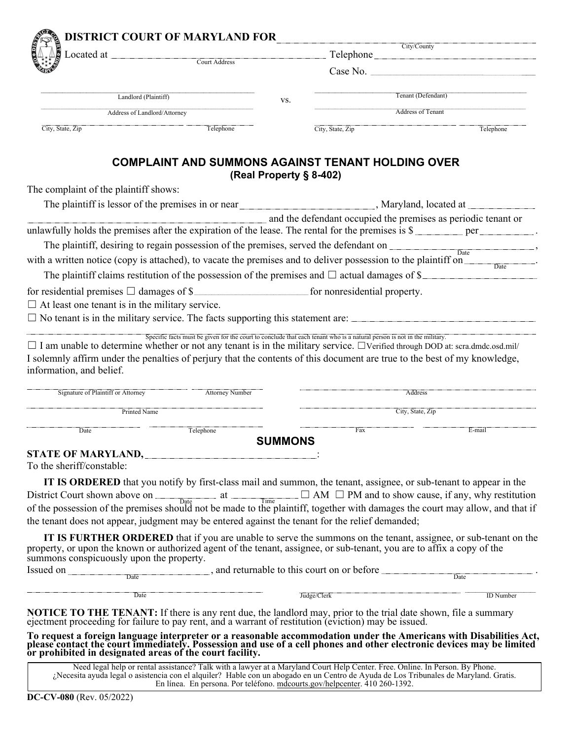|                                                                                                                                                                                                                                | City/County<br>Located at <u>Court Address</u><br>Telephone |                         |                          |                                                                                                                                                                                                                                       |  |  |  |  |  |
|--------------------------------------------------------------------------------------------------------------------------------------------------------------------------------------------------------------------------------|-------------------------------------------------------------|-------------------------|--------------------------|---------------------------------------------------------------------------------------------------------------------------------------------------------------------------------------------------------------------------------------|--|--|--|--|--|
|                                                                                                                                                                                                                                |                                                             |                         |                          | Case No.                                                                                                                                                                                                                              |  |  |  |  |  |
| Landlord (Plaintiff)                                                                                                                                                                                                           | VS.                                                         | Tenant (Defendant)      |                          |                                                                                                                                                                                                                                       |  |  |  |  |  |
| Address of Landlord/Attorney                                                                                                                                                                                                   |                                                             |                         | <b>Address of Tenant</b> |                                                                                                                                                                                                                                       |  |  |  |  |  |
| City, State, Zip                                                                                                                                                                                                               | Telephone                                                   |                         | City, State, Zip         | Telephone                                                                                                                                                                                                                             |  |  |  |  |  |
|                                                                                                                                                                                                                                | <b>COMPLAINT AND SUMMONS AGAINST TENANT HOLDING OVER</b>    | (Real Property § 8-402) |                          |                                                                                                                                                                                                                                       |  |  |  |  |  |
| The complaint of the plaintiff shows:                                                                                                                                                                                          |                                                             |                         |                          |                                                                                                                                                                                                                                       |  |  |  |  |  |
|                                                                                                                                                                                                                                |                                                             |                         |                          |                                                                                                                                                                                                                                       |  |  |  |  |  |
|                                                                                                                                                                                                                                |                                                             |                         |                          | and the defendant occupied the premises as periodic tenant or                                                                                                                                                                         |  |  |  |  |  |
|                                                                                                                                                                                                                                |                                                             |                         |                          | unlawfully holds the premises after the expiration of the lease. The rental for the premises is $\frac{1}{2}$ per ______________.                                                                                                     |  |  |  |  |  |
|                                                                                                                                                                                                                                |                                                             |                         |                          | The plaintiff, desiring to regain possession of the premises, served the defendant on                                                                                                                                                 |  |  |  |  |  |
| with a written notice (copy is attached), to vacate the premises and to deliver possession to the plaintiff on                                                                                                                 |                                                             |                         |                          | $\overline{Date}$                                                                                                                                                                                                                     |  |  |  |  |  |
| The plaintiff claims restitution of the possession of the premises and $\Box$ actual damages of \$                                                                                                                             |                                                             |                         |                          |                                                                                                                                                                                                                                       |  |  |  |  |  |
|                                                                                                                                                                                                                                |                                                             |                         |                          |                                                                                                                                                                                                                                       |  |  |  |  |  |
| $\Box$ At least one tenant is in the military service.                                                                                                                                                                         |                                                             |                         |                          |                                                                                                                                                                                                                                       |  |  |  |  |  |
| $\square$ No tenant is in the military service. The facts supporting this statement are:                                                                                                                                       |                                                             |                         |                          |                                                                                                                                                                                                                                       |  |  |  |  |  |
| information, and belief.<br>Signature of Plaintiff or Attorney                                                                                                                                                                 | <b>Attorney Number</b>                                      |                         |                          | <b>Address</b>                                                                                                                                                                                                                        |  |  |  |  |  |
| Printed Name                                                                                                                                                                                                                   |                                                             |                         |                          | City, State, Zip                                                                                                                                                                                                                      |  |  |  |  |  |
| Date                                                                                                                                                                                                                           | Telephone                                                   |                         | Fax                      | E-mail                                                                                                                                                                                                                                |  |  |  |  |  |
|                                                                                                                                                                                                                                |                                                             | <b>SUMMONS</b>          |                          |                                                                                                                                                                                                                                       |  |  |  |  |  |
| STATE OF MARYLAND, STATE OF MARYLAND,                                                                                                                                                                                          |                                                             |                         |                          |                                                                                                                                                                                                                                       |  |  |  |  |  |
| To the sheriff/constable:                                                                                                                                                                                                      |                                                             |                         |                          |                                                                                                                                                                                                                                       |  |  |  |  |  |
|                                                                                                                                                                                                                                |                                                             |                         |                          | IT IS ORDERED that you notify by first-class mail and summon, the tenant, assignee, or sub-tenant to appear in the                                                                                                                    |  |  |  |  |  |
|                                                                                                                                                                                                                                |                                                             |                         |                          | District Court shown above on $\Box$ at $\Box$ $\Box$ AM $\Box$ PM and to show cause, if any, why restitution of the possession of the premises should not be made to the plaintiff, together with damages the court may allow, and t |  |  |  |  |  |
| the tenant does not appear, judgment may be entered against the tenant for the relief demanded;                                                                                                                                |                                                             |                         |                          |                                                                                                                                                                                                                                       |  |  |  |  |  |
|                                                                                                                                                                                                                                |                                                             |                         |                          |                                                                                                                                                                                                                                       |  |  |  |  |  |
| property, or upon the known or authorized agent of the tenant, assignee, or sub-tenant, you are to affix a copy of the<br>summons conspicuously upon the property.                                                             |                                                             |                         |                          | <b>IT IS FURTHER ORDERED</b> that if you are unable to serve the summons on the tenant, assignee, or sub-tenant on the                                                                                                                |  |  |  |  |  |
| Issued on <u>Date</u> base and returnable to this court on or before <u>Date</u>                                                                                                                                               |                                                             |                         |                          |                                                                                                                                                                                                                                       |  |  |  |  |  |
| Date                                                                                                                                                                                                                           |                                                             |                         | $\fbox{Judge/Clerk}$     | <b>ID</b> Number                                                                                                                                                                                                                      |  |  |  |  |  |
| <b>NOTICE TO THE TENANT:</b> If there is any rent due, the landlord may, prior to the trial date shown, file a summary<br>ejectment proceeding for failure to pay rent, and a warrant of restitution (eviction) may be issued. |                                                             |                         |                          |                                                                                                                                                                                                                                       |  |  |  |  |  |
| To request a foreign language interpreter or a reasonable accommodation under the Americans with Disabilities Act, please contact the court immediately. Possession and use of a cell phones and other electronic devices may  |                                                             |                         |                          |                                                                                                                                                                                                                                       |  |  |  |  |  |

Need legal help or rental assistance? Talk with a lawyer at a Maryland Court Help Center. Free. Online. In Person. By Phone. ¿Necesita ayuda legal o asistencia con el alquiler? Hable con un abogado en un Centro de Ayuda de Los Tribunales de Maryland. Gratis. En línea. En persona. Por teléfono. mdcourts.gov/helpcenter. 410 260-1392.